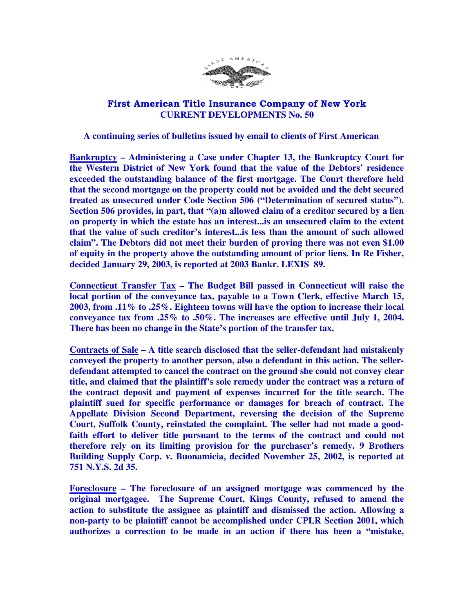

## First American Title Insurance Company of New York  **CURRENT DEVELOPMENTS No. 50**

## **A continuing series of bulletins issued by email to clients of First American**

**Bankruptcy – Administering a Case under Chapter 13, the Bankruptcy Court for the Western District of New York found that the value of the Debtors' residence exceeded the outstanding balance of the first mortgage. The Court therefore held that the second mortgage on the property could not be avoided and the debt secured treated as unsecured under Code Section 506 ("Determination of secured status"). Section 506 provides, in part, that "(a)n allowed claim of a creditor secured by a lien on property in which the estate has an interest...is an unsecured claim to the extent that the value of such creditor's interest...is less than the amount of such allowed claim". The Debtors did not meet their burden of proving there was not even \$1.00 of equity in the property above the outstanding amount of prior liens. In Re Fisher, decided January 29, 2003, is reported at 2003 Bankr. LEXIS 89.** 

**Connecticut Transfer Tax – The Budget Bill passed in Connecticut will raise the local portion of the conveyance tax, payable to a Town Clerk, effective March 15, 2003, from .11% to .25%. Eighteen towns will have the option to increase their local conveyance tax from .25% to .50%. The increases are effective until July 1, 2004. There has been no change in the State's portion of the transfer tax.** 

**Contracts of Sale – A title search disclosed that the seller-defendant had mistakenly conveyed the property to another person, also a defendant in this action. The sellerdefendant attempted to cancel the contract on the ground she could not convey clear title, and claimed that the plaintiff's sole remedy under the contract was a return of the contract deposit and payment of expenses incurred for the title search. The plaintiff sued for specific performance or damages for breach of contract. The Appellate Division Second Department, reversing the decision of the Supreme Court, Suffolk County, reinstated the complaint. The seller had not made a goodfaith effort to deliver title pursuant to the terms of the contract and could not therefore rely on its limiting provision for the purchaser's remedy. 9 Brothers Building Supply Corp. v. Buonamicia, decided November 25, 2002, is reported at 751 N.Y.S. 2d 35.** 

**Foreclosure – The foreclosure of an assigned mortgage was commenced by the original mortgagee. The Supreme Court, Kings County, refused to amend the action to substitute the assignee as plaintiff and dismissed the action. Allowing a non-party to be plaintiff cannot be accomplished under CPLR Section 2001, which authorizes a correction to be made in an action if there has been a "mistake,**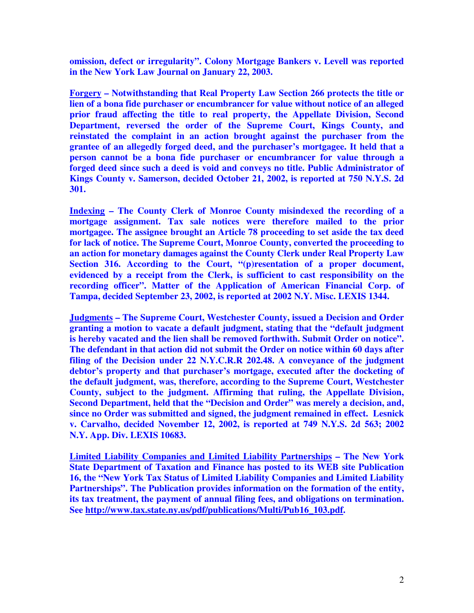**omission, defect or irregularity". Colony Mortgage Bankers v. Levell was reported in the New York Law Journal on January 22, 2003.** 

**Forgery – Notwithstanding that Real Property Law Section 266 protects the title or lien of a bona fide purchaser or encumbrancer for value without notice of an alleged prior fraud affecting the title to real property, the Appellate Division, Second Department, reversed the order of the Supreme Court, Kings County, and reinstated the complaint in an action brought against the purchaser from the grantee of an allegedly forged deed, and the purchaser's mortgagee. It held that a person cannot be a bona fide purchaser or encumbrancer for value through a forged deed since such a deed is void and conveys no title. Public Administrator of Kings County v. Samerson, decided October 21, 2002, is reported at 750 N.Y.S. 2d 301.** 

**Indexing – The County Clerk of Monroe County misindexed the recording of a mortgage assignment. Tax sale notices were therefore mailed to the prior mortgagee. The assignee brought an Article 78 proceeding to set aside the tax deed for lack of notice. The Supreme Court, Monroe County, converted the proceeding to an action for monetary damages against the County Clerk under Real Property Law Section 316. According to the Court, "(p)resentation of a proper document, evidenced by a receipt from the Clerk, is sufficient to cast responsibility on the recording officer". Matter of the Application of American Financial Corp. of Tampa, decided September 23, 2002, is reported at 2002 N.Y. Misc. LEXIS 1344.** 

**Judgments – The Supreme Court, Westchester County, issued a Decision and Order granting a motion to vacate a default judgment, stating that the "default judgment is hereby vacated and the lien shall be removed forthwith. Submit Order on notice". The defendant in that action did not submit the Order on notice within 60 days after filing of the Decision under 22 N.Y.C.R.R 202.48. A conveyance of the judgment debtor's property and that purchaser's mortgage, executed after the docketing of the default judgment, was, therefore, according to the Supreme Court, Westchester County, subject to the judgment. Affirming that ruling, the Appellate Division, Second Department, held that the "Decision and Order" was merely a decision, and, since no Order was submitted and signed, the judgment remained in effect. Lesnick v. Carvalho, decided November 12, 2002, is reported at 749 N.Y.S. 2d 563; 2002 N.Y. App. Div. LEXIS 10683.** 

**Limited Liability Companies and Limited Liability Partnerships – The New York State Department of Taxation and Finance has posted to its WEB site Publication 16, the "New York Tax Status of Limited Liability Companies and Limited Liability Partnerships". The Publication provides information on the formation of the entity, its tax treatment, the payment of annual filing fees, and obligations on termination. See http://www.tax.state.ny.us/pdf/publications/Multi/Pub16\_103.pdf.**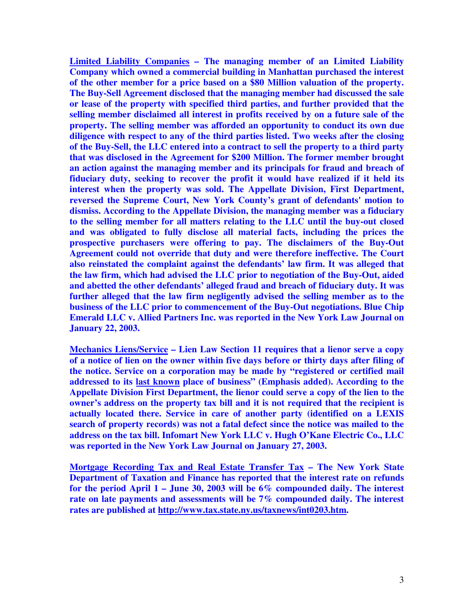**Limited Liability Companies – The managing member of an Limited Liability Company which owned a commercial building in Manhattan purchased the interest of the other member for a price based on a \$80 Million valuation of the property. The Buy-Sell Agreement disclosed that the managing member had discussed the sale or lease of the property with specified third parties, and further provided that the selling member disclaimed all interest in profits received by on a future sale of the property. The selling member was afforded an opportunity to conduct its own due diligence with respect to any of the third parties listed. Two weeks after the closing of the Buy-Sell, the LLC entered into a contract to sell the property to a third party that was disclosed in the Agreement for \$200 Million. The former member brought an action against the managing member and its principals for fraud and breach of fiduciary duty, seeking to recover the profit it would have realized if it held its interest when the property was sold. The Appellate Division, First Department, reversed the Supreme Court, New York County's grant of defendants' motion to dismiss. According to the Appellate Division, the managing member was a fiduciary to the selling member for all matters relating to the LLC until the buy-out closed and was obligated to fully disclose all material facts, including the prices the prospective purchasers were offering to pay. The disclaimers of the Buy-Out Agreement could not override that duty and were therefore ineffective. The Court also reinstated the complaint against the defendants' law firm. It was alleged that the law firm, which had advised the LLC prior to negotiation of the Buy-Out, aided and abetted the other defendants' alleged fraud and breach of fiduciary duty. It was further alleged that the law firm negligently advised the selling member as to the business of the LLC prior to commencement of the Buy-Out negotiations. Blue Chip Emerald LLC v. Allied Partners Inc. was reported in the New York Law Journal on January 22, 2003.** 

**Mechanics Liens/Service – Lien Law Section 11 requires that a lienor serve a copy of a notice of lien on the owner within five days before or thirty days after filing of the notice. Service on a corporation may be made by "registered or certified mail addressed to its last known place of business" (Emphasis added). According to the Appellate Division First Department, the lienor could serve a copy of the lien to the owner's address on the property tax bill and it is not required that the recipient is actually located there. Service in care of another party (identified on a LEXIS search of property records) was not a fatal defect since the notice was mailed to the address on the tax bill. Infomart New York LLC v. Hugh O'Kane Electric Co., LLC was reported in the New York Law Journal on January 27, 2003.** 

**Mortgage Recording Tax and Real Estate Transfer Tax – The New York State Department of Taxation and Finance has reported that the interest rate on refunds for the period April 1 – June 30, 2003 will be 6% compounded daily. The interest rate on late payments and assessments will be 7% compounded daily. The interest rates are published at http://www.tax.state.ny.us/taxnews/int0203.htm.**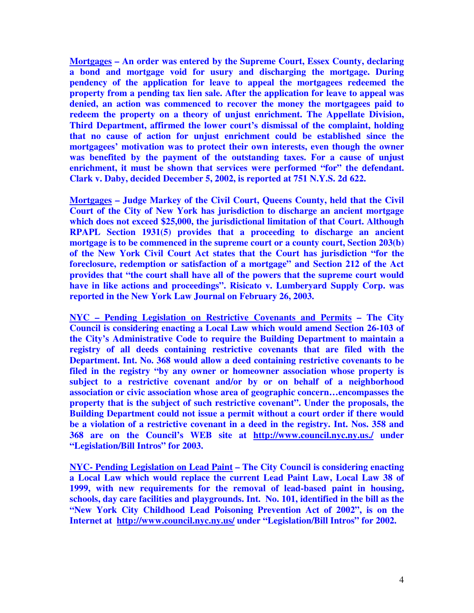**Mortgages – An order was entered by the Supreme Court, Essex County, declaring a bond and mortgage void for usury and discharging the mortgage. During pendency of the application for leave to appeal the mortgagees redeemed the property from a pending tax lien sale. After the application for leave to appeal was denied, an action was commenced to recover the money the mortgagees paid to redeem the property on a theory of unjust enrichment. The Appellate Division, Third Department, affirmed the lower court's dismissal of the complaint, holding that no cause of action for unjust enrichment could be established since the mortgagees' motivation was to protect their own interests, even though the owner was benefited by the payment of the outstanding taxes. For a cause of unjust enrichment, it must be shown that services were performed "for" the defendant. Clark v. Daby, decided December 5, 2002, is reported at 751 N.Y.S. 2d 622.** 

**Mortgages – Judge Markey of the Civil Court, Queens County, held that the Civil Court of the City of New York has jurisdiction to discharge an ancient mortgage which does not exceed \$25,000, the jurisdictional limitation of that Court. Although RPAPL Section 1931(5) provides that a proceeding to discharge an ancient mortgage is to be commenced in the supreme court or a county court, Section 203(b) of the New York Civil Court Act states that the Court has jurisdiction "for the foreclosure, redemption or satisfaction of a mortgage" and Section 212 of the Act provides that "the court shall have all of the powers that the supreme court would have in like actions and proceedings". Risicato v. Lumberyard Supply Corp. was reported in the New York Law Journal on February 26, 2003.** 

**NYC – Pending Legislation on Restrictive Covenants and Permits – The City Council is considering enacting a Local Law which would amend Section 26-103 of the City's Administrative Code to require the Building Department to maintain a registry of all deeds containing restrictive covenants that are filed with the Department. Int. No. 368 would allow a deed containing restrictive covenants to be filed in the registry "by any owner or homeowner association whose property is subject to a restrictive covenant and/or by or on behalf of a neighborhood association or civic association whose area of geographic concern…encompasses the property that is the subject of such restrictive covenant". Under the proposals, the Building Department could not issue a permit without a court order if there would be a violation of a restrictive covenant in a deed in the registry. Int. Nos. 358 and 368 are on the Council's WEB site at http://www.council.nyc.ny.us./ under "Legislation/Bill Intros" for 2003.** 

**NYC- Pending Legislation on Lead Paint – The City Council is considering enacting a Local Law which would replace the current Lead Paint Law, Local Law 38 of 1999, with new requirements for the removal of lead-based paint in housing, schools, day care facilities and playgrounds. Int. No. 101, identified in the bill as the "New York City Childhood Lead Poisoning Prevention Act of 2002", is on the Internet at http://www.council.nyc.ny.us/ under "Legislation/Bill Intros" for 2002.**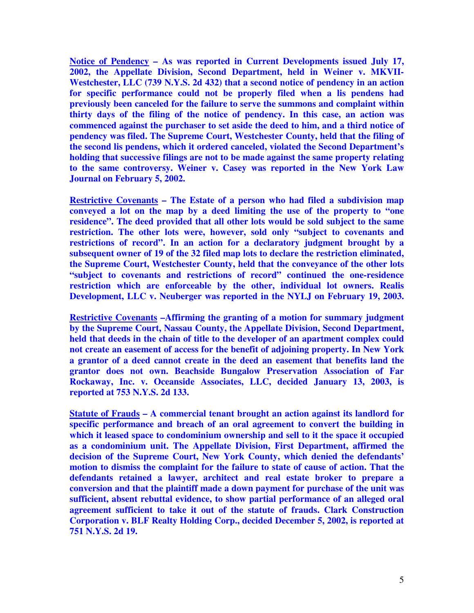**Notice of Pendency – As was reported in Current Developments issued July 17, 2002, the Appellate Division, Second Department, held in Weiner v. MKVII-Westchester, LLC (739 N.Y.S. 2d 432) that a second notice of pendency in an action for specific performance could not be properly filed when a lis pendens had previously been canceled for the failure to serve the summons and complaint within thirty days of the filing of the notice of pendency. In this case, an action was commenced against the purchaser to set aside the deed to him, and a third notice of pendency was filed. The Supreme Court, Westchester County, held that the filing of the second lis pendens, which it ordered canceled, violated the Second Department's holding that successive filings are not to be made against the same property relating to the same controversy. Weiner v. Casey was reported in the New York Law Journal on February 5, 2002.** 

**Restrictive Covenants – The Estate of a person who had filed a subdivision map conveyed a lot on the map by a deed limiting the use of the property to "one residence". The deed provided that all other lots would be sold subject to the same restriction. The other lots were, however, sold only "subject to covenants and restrictions of record". In an action for a declaratory judgment brought by a subsequent owner of 19 of the 32 filed map lots to declare the restriction eliminated, the Supreme Court, Westchester County, held that the conveyance of the other lots "subject to covenants and restrictions of record" continued the one-residence restriction which are enforceable by the other, individual lot owners. Realis Development, LLC v. Neuberger was reported in the NYLJ on February 19, 2003.** 

**Restrictive Covenants –Affirming the granting of a motion for summary judgment by the Supreme Court, Nassau County, the Appellate Division, Second Department, held that deeds in the chain of title to the developer of an apartment complex could not create an easement of access for the benefit of adjoining property. In New York a grantor of a deed cannot create in the deed an easement that benefits land the grantor does not own. Beachside Bungalow Preservation Association of Far Rockaway, Inc. v. Oceanside Associates, LLC, decided January 13, 2003, is reported at 753 N.Y.S. 2d 133.** 

**Statute of Frauds – A commercial tenant brought an action against its landlord for specific performance and breach of an oral agreement to convert the building in which it leased space to condominium ownership and sell to it the space it occupied as a condominium unit. The Appellate Division, First Department, affirmed the decision of the Supreme Court, New York County, which denied the defendants' motion to dismiss the complaint for the failure to state of cause of action. That the defendants retained a lawyer, architect and real estate broker to prepare a conversion and that the plaintiff made a down payment for purchase of the unit was sufficient, absent rebuttal evidence, to show partial performance of an alleged oral agreement sufficient to take it out of the statute of frauds. Clark Construction Corporation v. BLF Realty Holding Corp., decided December 5, 2002, is reported at 751 N.Y.S. 2d 19.**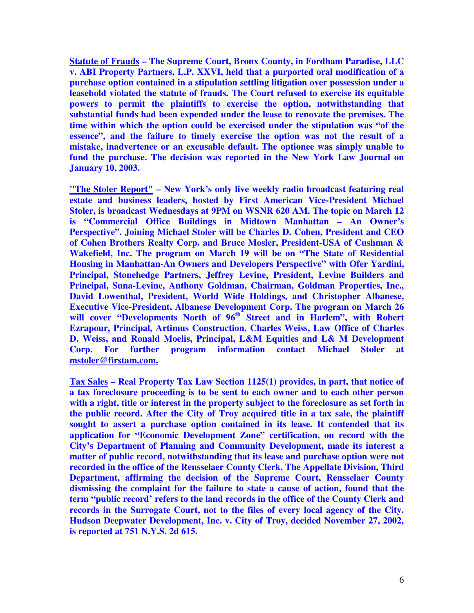**Statute of Frauds – The Supreme Court, Bronx County, in Fordham Paradise, LLC v. ABI Property Partners, L.P. XXVI, held that a purported oral modification of a purchase option contained in a stipulation settling litigation over possession under a leasehold violated the statute of frauds. The Court refused to exercise its equitable powers to permit the plaintiffs to exercise the option, notwithstanding that substantial funds had been expended under the lease to renovate the premises. The time within which the option could be exercised under the stipulation was "of the essence", and the failure to timely exercise the option was not the result of a mistake, inadvertence or an excusable default. The optionee was simply unable to fund the purchase. The decision was reported in the New York Law Journal on January 10, 2003.** 

**"The Stoler Report" – New York's only live weekly radio broadcast featuring real estate and business leaders, hosted by First American Vice-President Michael Stoler, is broadcast Wednesdays at 9PM on WSNR 620 AM. The topic on March 12 is "Commercial Office Buildings in Midtown Manhattan – An Owner's Perspective". Joining Michael Stoler will be Charles D. Cohen, President and CEO of Cohen Brothers Realty Corp. and Bruce Mosler, President-USA of Cushman & Wakefield, Inc. The program on March 19 will be on "The State of Residential Housing in Manhattan-An Owners and Developers Perspective" with Ofer Yardini, Principal, Stonehedge Partners, Jeffrey Levine, President, Levine Builders and Principal, Suna-Levine, Anthony Goldman, Chairman, Goldman Properties, Inc., David Lowenthal, President, World Wide Holdings, and Christopher Albanese, Executive Vice-President, Albanese Development Corp. The program on March 26**  will cover "Developments North of 96<sup>th</sup> Street and in Harlem", with Robert **Ezrapour, Principal, Artimus Construction, Charles Weiss, Law Office of Charles D. Weiss, and Ronald Moelis, Principal, L&M Equities and L& M Development Corp. For further program information contact Michael Stoler at mstoler@firstam.com.** 

**Tax Sales – Real Property Tax Law Section 1125(1) provides, in part, that notice of a tax foreclosure proceeding is to be sent to each owner and to each other person with a right, title or interest in the property subject to the foreclosure as set forth in the public record. After the City of Troy acquired title in a tax sale, the plaintiff sought to assert a purchase option contained in its lease. It contended that its application for "Economic Development Zone" certification, on record with the City's Department of Planning and Community Development, made its interest a matter of public record, notwithstanding that its lease and purchase option were not recorded in the office of the Rensselaer County Clerk. The Appellate Division, Third Department, affirming the decision of the Supreme Court, Rensselaer County dismissing the complaint for the failure to state a cause of action, found that the term "public record' refers to the land records in the office of the County Clerk and records in the Surrogate Court, not to the files of every local agency of the City. Hudson Deepwater Development, Inc. v. City of Troy, decided November 27, 2002, is reported at 751 N.Y.S. 2d 615.**